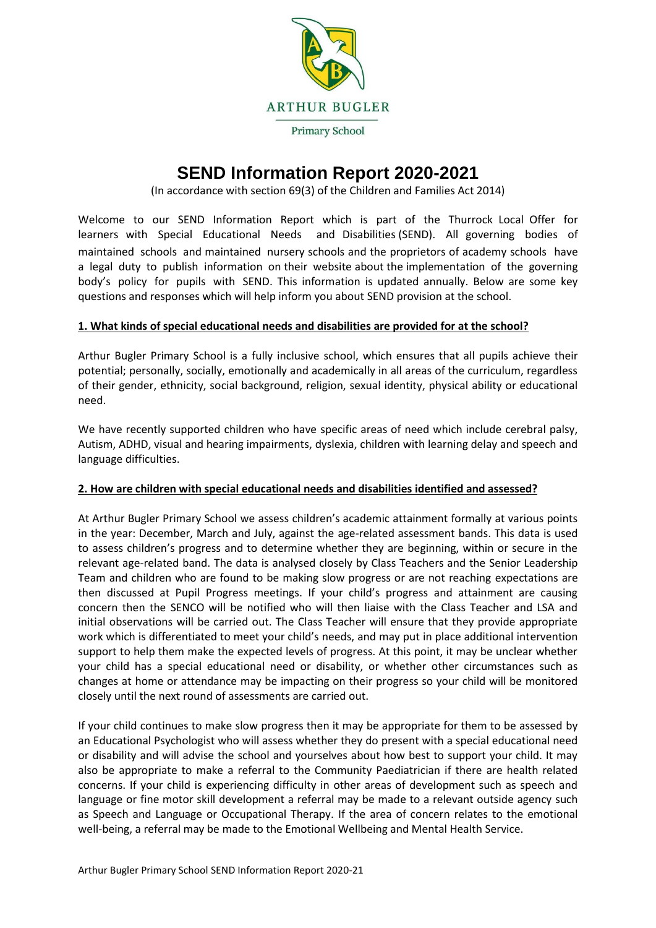

# **SEND Information Report 2020-2021**

(In accordance with section 69(3) of the Children and Families Act 2014)

Welcome to our SEND Information Report which is part of the Thurrock Local Offer for learners with Special Educational Needs and Disabilities (SEND). All governing bodies of maintained schools and maintained nursery schools and the proprietors of academy schools have a legal duty to publish information on their website about the implementation of the governing body's policy for pupils with SEND. This information is updated annually. Below are some key questions and responses which will help inform you about SEND provision at the school.

# **1. What kinds of special educational needs and disabilities are provided for at the school?**

Arthur Bugler Primary School is a fully inclusive school, which ensures that all pupils achieve their potential; personally, socially, emotionally and academically in all areas of the curriculum, regardless of their gender, ethnicity, social background, religion, sexual identity, physical ability or educational need.

We have recently supported children who have specific areas of need which include cerebral palsy, Autism, ADHD, visual and hearing impairments, dyslexia, children with learning delay and speech and language difficulties.

## **2. How are children with special educational needs and disabilities identified and assessed?**

At Arthur Bugler Primary School we assess children's academic attainment formally at various points in the year: December, March and July, against the age-related assessment bands. This data is used to assess children's progress and to determine whether they are beginning, within or secure in the relevant age-related band. The data is analysed closely by Class Teachers and the Senior Leadership Team and children who are found to be making slow progress or are not reaching expectations are then discussed at Pupil Progress meetings. If your child's progress and attainment are causing concern then the SENCO will be notified who will then liaise with the Class Teacher and LSA and initial observations will be carried out. The Class Teacher will ensure that they provide appropriate work which is differentiated to meet your child's needs, and may put in place additional intervention support to help them make the expected levels of progress. At this point, it may be unclear whether your child has a special educational need or disability, or whether other circumstances such as changes at home or attendance may be impacting on their progress so your child will be monitored closely until the next round of assessments are carried out.

If your child continues to make slow progress then it may be appropriate for them to be assessed by an Educational Psychologist who will assess whether they do present with a special educational need or disability and will advise the school and yourselves about how best to support your child. It may also be appropriate to make a referral to the Community Paediatrician if there are health related concerns. If your child is experiencing difficulty in other areas of development such as speech and language or fine motor skill development a referral may be made to a relevant outside agency such as Speech and Language or Occupational Therapy. If the area of concern relates to the emotional well-being, a referral may be made to the Emotional Wellbeing and Mental Health Service.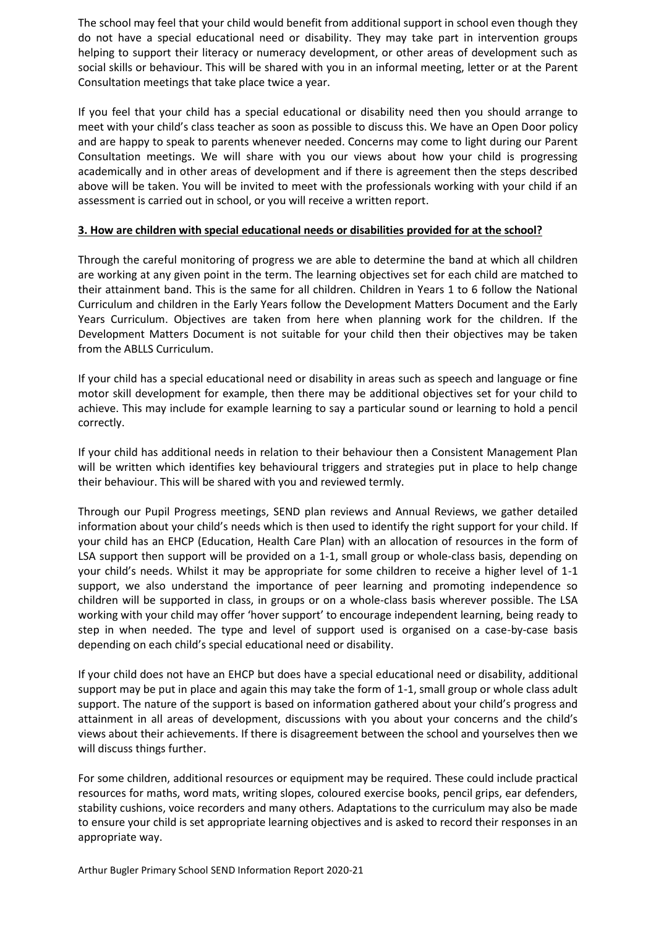The school may feel that your child would benefit from additional support in school even though they do not have a special educational need or disability. They may take part in intervention groups helping to support their literacy or numeracy development, or other areas of development such as social skills or behaviour. This will be shared with you in an informal meeting, letter or at the Parent Consultation meetings that take place twice a year.

If you feel that your child has a special educational or disability need then you should arrange to meet with your child's class teacher as soon as possible to discuss this. We have an Open Door policy and are happy to speak to parents whenever needed. Concerns may come to light during our Parent Consultation meetings. We will share with you our views about how your child is progressing academically and in other areas of development and if there is agreement then the steps described above will be taken. You will be invited to meet with the professionals working with your child if an assessment is carried out in school, or you will receive a written report.

## **3. How are children with special educational needs or disabilities provided for at the school?**

Through the careful monitoring of progress we are able to determine the band at which all children are working at any given point in the term. The learning objectives set for each child are matched to their attainment band. This is the same for all children. Children in Years 1 to 6 follow the National Curriculum and children in the Early Years follow the Development Matters Document and the Early Years Curriculum. Objectives are taken from here when planning work for the children. If the Development Matters Document is not suitable for your child then their objectives may be taken from the ABLLS Curriculum.

If your child has a special educational need or disability in areas such as speech and language or fine motor skill development for example, then there may be additional objectives set for your child to achieve. This may include for example learning to say a particular sound or learning to hold a pencil correctly.

If your child has additional needs in relation to their behaviour then a Consistent Management Plan will be written which identifies key behavioural triggers and strategies put in place to help change their behaviour. This will be shared with you and reviewed termly.

Through our Pupil Progress meetings, SEND plan reviews and Annual Reviews, we gather detailed information about your child's needs which is then used to identify the right support for your child. If your child has an EHCP (Education, Health Care Plan) with an allocation of resources in the form of LSA support then support will be provided on a 1-1, small group or whole-class basis, depending on your child's needs. Whilst it may be appropriate for some children to receive a higher level of 1-1 support, we also understand the importance of peer learning and promoting independence so children will be supported in class, in groups or on a whole-class basis wherever possible. The LSA working with your child may offer 'hover support' to encourage independent learning, being ready to step in when needed. The type and level of support used is organised on a case-by-case basis depending on each child's special educational need or disability.

If your child does not have an EHCP but does have a special educational need or disability, additional support may be put in place and again this may take the form of 1-1, small group or whole class adult support. The nature of the support is based on information gathered about your child's progress and attainment in all areas of development, discussions with you about your concerns and the child's views about their achievements. If there is disagreement between the school and yourselves then we will discuss things further.

For some children, additional resources or equipment may be required. These could include practical resources for maths, word mats, writing slopes, coloured exercise books, pencil grips, ear defenders, stability cushions, voice recorders and many others. Adaptations to the curriculum may also be made to ensure your child is set appropriate learning objectives and is asked to record their responses in an appropriate way.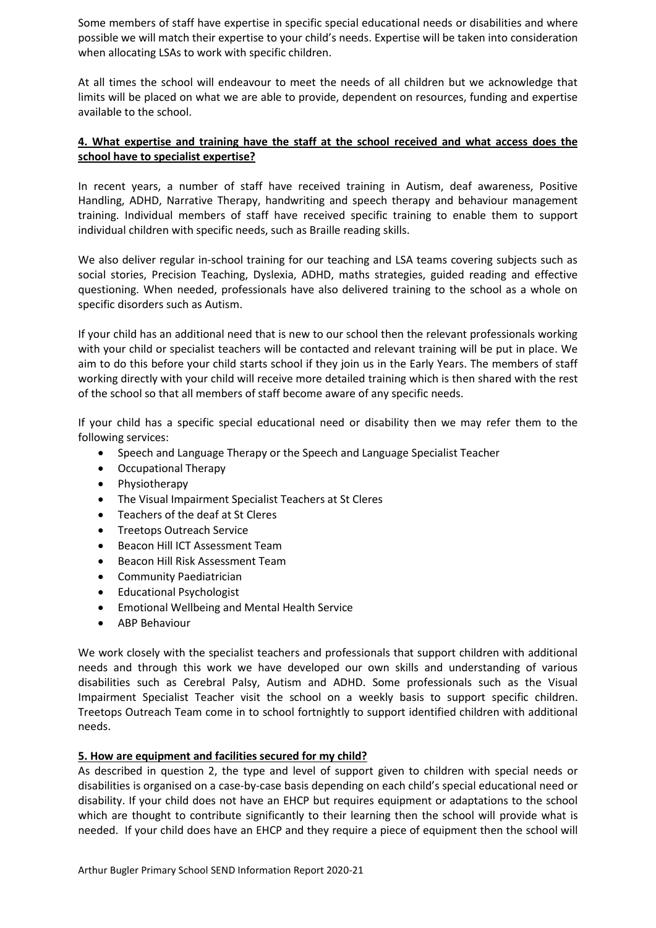Some members of staff have expertise in specific special educational needs or disabilities and where possible we will match their expertise to your child's needs. Expertise will be taken into consideration when allocating LSAs to work with specific children.

At all times the school will endeavour to meet the needs of all children but we acknowledge that limits will be placed on what we are able to provide, dependent on resources, funding and expertise available to the school.

# **4. What expertise and training have the staff at the school received and what access does the school have to specialist expertise?**

In recent years, a number of staff have received training in Autism, deaf awareness, Positive Handling, ADHD, Narrative Therapy, handwriting and speech therapy and behaviour management training. Individual members of staff have received specific training to enable them to support individual children with specific needs, such as Braille reading skills.

We also deliver regular in-school training for our teaching and LSA teams covering subjects such as social stories, Precision Teaching, Dyslexia, ADHD, maths strategies, guided reading and effective questioning. When needed, professionals have also delivered training to the school as a whole on specific disorders such as Autism.

If your child has an additional need that is new to our school then the relevant professionals working with your child or specialist teachers will be contacted and relevant training will be put in place. We aim to do this before your child starts school if they join us in the Early Years. The members of staff working directly with your child will receive more detailed training which is then shared with the rest of the school so that all members of staff become aware of any specific needs.

If your child has a specific special educational need or disability then we may refer them to the following services:

- Speech and Language Therapy or the Speech and Language Specialist Teacher
- Occupational Therapy
- Physiotherapy
- The Visual Impairment Specialist Teachers at St Cleres
- Teachers of the deaf at St Cleres
- Treetops Outreach Service
- Beacon Hill ICT Assessment Team
- Beacon Hill Risk Assessment Team
- Community Paediatrician
- Educational Psychologist
- Emotional Wellbeing and Mental Health Service
- ABP Behaviour

We work closely with the specialist teachers and professionals that support children with additional needs and through this work we have developed our own skills and understanding of various disabilities such as Cerebral Palsy, Autism and ADHD. Some professionals such as the Visual Impairment Specialist Teacher visit the school on a weekly basis to support specific children. Treetops Outreach Team come in to school fortnightly to support identified children with additional needs.

## **5. How are equipment and facilities secured for my child?**

As described in question 2, the type and level of support given to children with special needs or disabilities is organised on a case-by-case basis depending on each child's special educational need or disability. If your child does not have an EHCP but requires equipment or adaptations to the school which are thought to contribute significantly to their learning then the school will provide what is needed. If your child does have an EHCP and they require a piece of equipment then the school will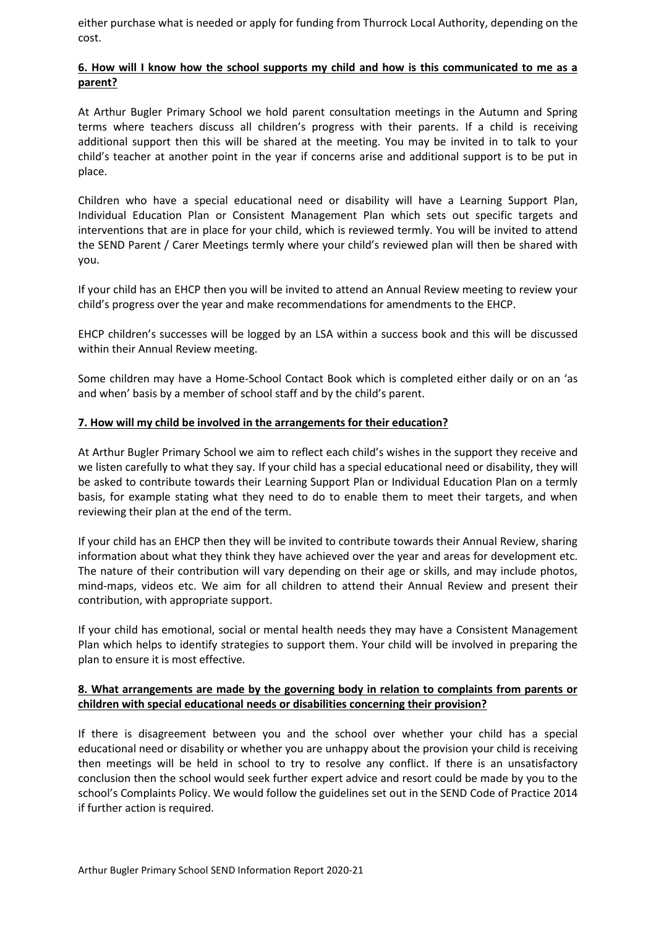either purchase what is needed or apply for funding from Thurrock Local Authority, depending on the cost.

## **6. How will I know how the school supports my child and how is this communicated to me as a parent?**

At Arthur Bugler Primary School we hold parent consultation meetings in the Autumn and Spring terms where teachers discuss all children's progress with their parents. If a child is receiving additional support then this will be shared at the meeting. You may be invited in to talk to your child's teacher at another point in the year if concerns arise and additional support is to be put in place.

Children who have a special educational need or disability will have a Learning Support Plan, Individual Education Plan or Consistent Management Plan which sets out specific targets and interventions that are in place for your child, which is reviewed termly. You will be invited to attend the SEND Parent / Carer Meetings termly where your child's reviewed plan will then be shared with you.

If your child has an EHCP then you will be invited to attend an Annual Review meeting to review your child's progress over the year and make recommendations for amendments to the EHCP.

EHCP children's successes will be logged by an LSA within a success book and this will be discussed within their Annual Review meeting.

Some children may have a Home-School Contact Book which is completed either daily or on an 'as and when' basis by a member of school staff and by the child's parent.

## **7. How will my child be involved in the arrangements for their education?**

At Arthur Bugler Primary School we aim to reflect each child's wishes in the support they receive and we listen carefully to what they say. If your child has a special educational need or disability, they will be asked to contribute towards their Learning Support Plan or Individual Education Plan on a termly basis, for example stating what they need to do to enable them to meet their targets, and when reviewing their plan at the end of the term.

If your child has an EHCP then they will be invited to contribute towards their Annual Review, sharing information about what they think they have achieved over the year and areas for development etc. The nature of their contribution will vary depending on their age or skills, and may include photos, mind-maps, videos etc. We aim for all children to attend their Annual Review and present their contribution, with appropriate support.

If your child has emotional, social or mental health needs they may have a Consistent Management Plan which helps to identify strategies to support them. Your child will be involved in preparing the plan to ensure it is most effective.

## **8. What arrangements are made by the governing body in relation to complaints from parents or children with special educational needs or disabilities concerning their provision?**

If there is disagreement between you and the school over whether your child has a special educational need or disability or whether you are unhappy about the provision your child is receiving then meetings will be held in school to try to resolve any conflict. If there is an unsatisfactory conclusion then the school would seek further expert advice and resort could be made by you to the school's Complaints Policy. We would follow the guidelines set out in the SEND Code of Practice 2014 if further action is required.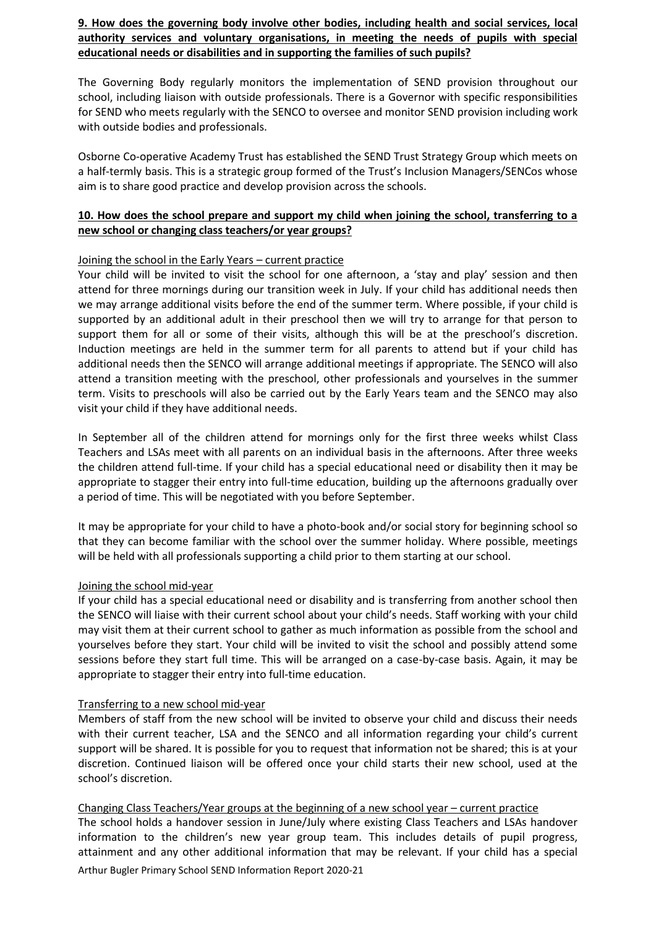**9. How does the governing body involve other bodies, including health and social services, local authority services and voluntary organisations, in meeting the needs of pupils with special educational needs or disabilities and in supporting the families of such pupils?**

The Governing Body regularly monitors the implementation of SEND provision throughout our school, including liaison with outside professionals. There is a Governor with specific responsibilities for SEND who meets regularly with the SENCO to oversee and monitor SEND provision including work with outside bodies and professionals.

Osborne Co-operative Academy Trust has established the SEND Trust Strategy Group which meets on a half-termly basis. This is a strategic group formed of the Trust's Inclusion Managers/SENCos whose aim is to share good practice and develop provision across the schools.

# **10. How does the school prepare and support my child when joining the school, transferring to a new school or changing class teachers/or year groups?**

## Joining the school in the Early Years – current practice

Your child will be invited to visit the school for one afternoon, a 'stay and play' session and then attend for three mornings during our transition week in July. If your child has additional needs then we may arrange additional visits before the end of the summer term. Where possible, if your child is supported by an additional adult in their preschool then we will try to arrange for that person to support them for all or some of their visits, although this will be at the preschool's discretion. Induction meetings are held in the summer term for all parents to attend but if your child has additional needs then the SENCO will arrange additional meetings if appropriate. The SENCO will also attend a transition meeting with the preschool, other professionals and yourselves in the summer term. Visits to preschools will also be carried out by the Early Years team and the SENCO may also visit your child if they have additional needs.

In September all of the children attend for mornings only for the first three weeks whilst Class Teachers and LSAs meet with all parents on an individual basis in the afternoons. After three weeks the children attend full-time. If your child has a special educational need or disability then it may be appropriate to stagger their entry into full-time education, building up the afternoons gradually over a period of time. This will be negotiated with you before September.

It may be appropriate for your child to have a photo-book and/or social story for beginning school so that they can become familiar with the school over the summer holiday. Where possible, meetings will be held with all professionals supporting a child prior to them starting at our school.

## Joining the school mid-year

If your child has a special educational need or disability and is transferring from another school then the SENCO will liaise with their current school about your child's needs. Staff working with your child may visit them at their current school to gather as much information as possible from the school and yourselves before they start. Your child will be invited to visit the school and possibly attend some sessions before they start full time. This will be arranged on a case-by-case basis. Again, it may be appropriate to stagger their entry into full-time education.

## Transferring to a new school mid-year

Members of staff from the new school will be invited to observe your child and discuss their needs with their current teacher, LSA and the SENCO and all information regarding your child's current support will be shared. It is possible for you to request that information not be shared; this is at your discretion. Continued liaison will be offered once your child starts their new school, used at the school's discretion.

Changing Class Teachers/Year groups at the beginning of a new school year – current practice

Arthur Bugler Primary School SEND Information Report 2020-21 The school holds a handover session in June/July where existing Class Teachers and LSAs handover information to the children's new year group team. This includes details of pupil progress, attainment and any other additional information that may be relevant. If your child has a special